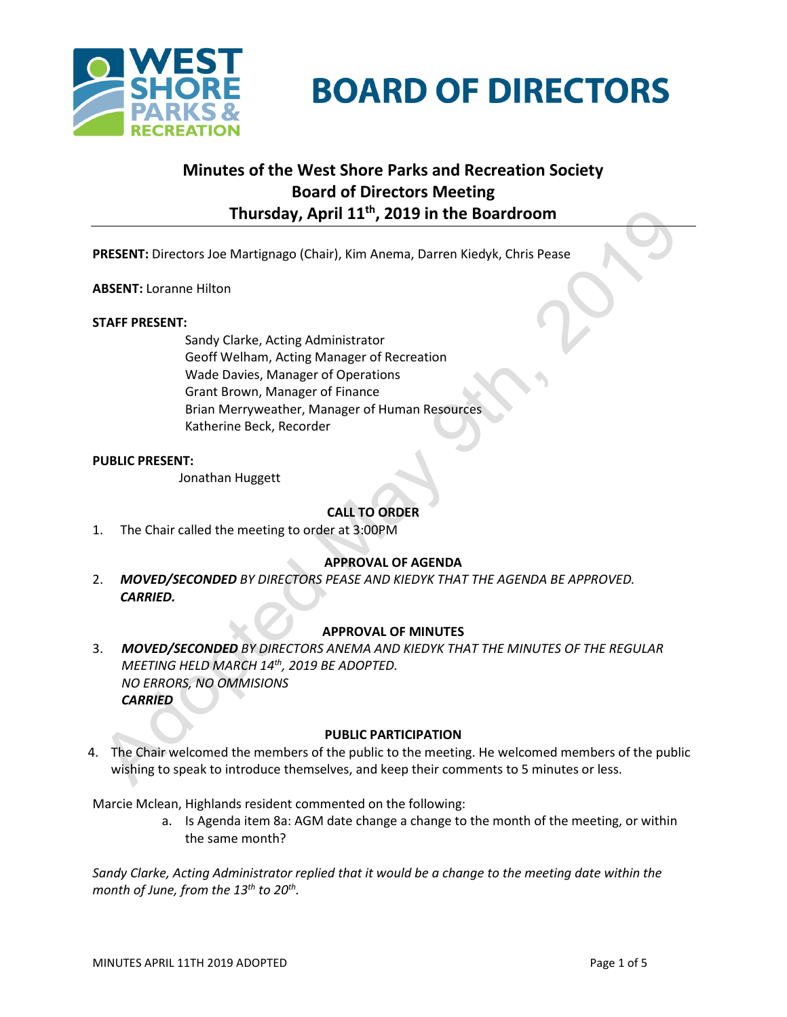

# **BOARD OF DIRECTORS**

# **Minutes of the West Shore Parks and Recreation Society Board of Directors Meeting Thursday, April 11th, 2019 in the Boardroom**

**PRESENT:** Directors Joe Martignago (Chair), Kim Anema, Darren Kiedyk, Chris Pease

**ABSENT:** Loranne Hilton

### **STAFF PRESENT:**

Sandy Clarke, Acting Administrator Geoff Welham, Acting Manager of Recreation Wade Davies, Manager of Operations Grant Brown, Manager of Finance Brian Merryweather, Manager of Human Resources Katherine Beck, Recorder

### **PUBLIC PRESENT:**

Jonathan Huggett

# **CALL TO ORDER**

1. The Chair called the meeting to order at 3:00PM

# **APPROVAL OF AGENDA**

2. *MOVED/SECONDED BY DIRECTORS PEASE AND KIEDYK THAT THE AGENDA BE APPROVED. CARRIED.*

# **APPROVAL OF MINUTES**

3. *MOVED/SECONDED BY DIRECTORS ANEMA AND KIEDYK THAT THE MINUTES OF THE REGULAR MEETING HELD MARCH 14th, 2019 BE ADOPTED. NO ERRORS, NO OMMISIONS CARRIED*

#### **PUBLIC PARTICIPATION**

4. The Chair welcomed the members of the public to the meeting. He welcomed members of the public wishing to speak to introduce themselves, and keep their comments to 5 minutes or less.

Marcie Mclean, Highlands resident commented on the following:

a. Is Agenda item 8a: AGM date change a change to the month of the meeting, or within the same month?

*Sandy Clarke, Acting Administrator replied that it would be a change to the meeting date within the month of June, from the 13th to 20th .*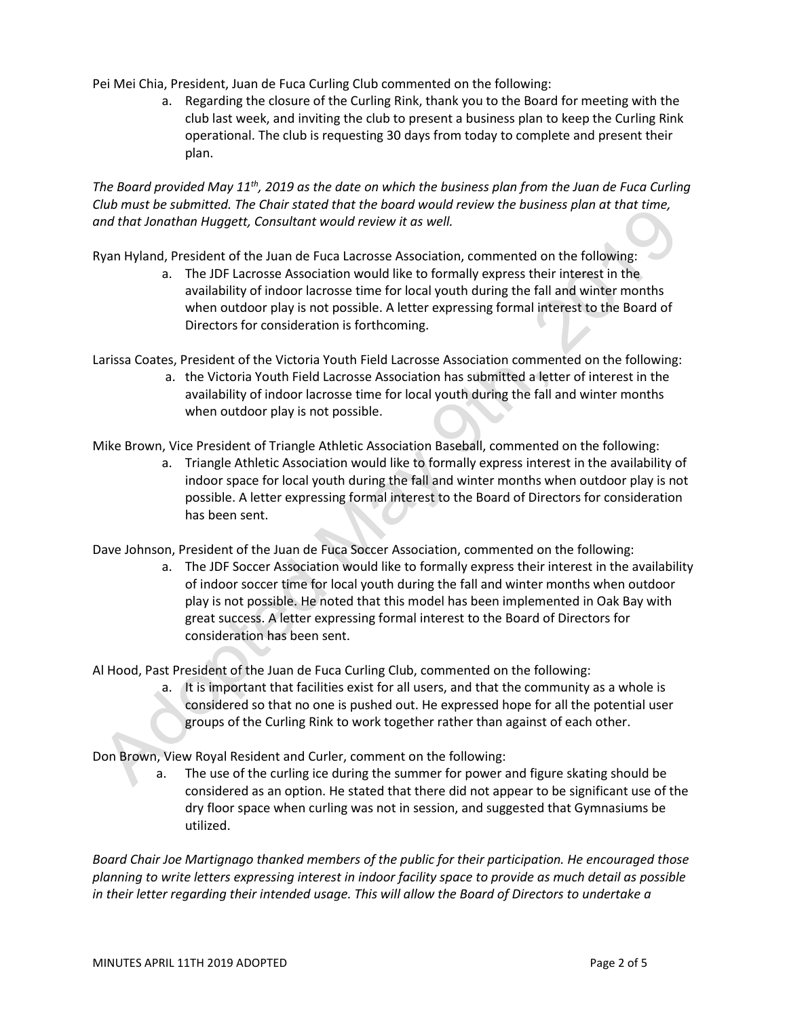Pei Mei Chia, President, Juan de Fuca Curling Club commented on the following:

a. Regarding the closure of the Curling Rink, thank you to the Board for meeting with the club last week, and inviting the club to present a business plan to keep the Curling Rink operational. The club is requesting 30 days from today to complete and present their plan.

*The Board provided May 11th, 2019 as the date on which the business plan from the Juan de Fuca Curling Club must be submitted. The Chair stated that the board would review the business plan at that time, and that Jonathan Huggett, Consultant would review it as well.*

Ryan Hyland, President of the Juan de Fuca Lacrosse Association, commented on the following:

a. The JDF Lacrosse Association would like to formally express their interest in the availability of indoor lacrosse time for local youth during the fall and winter months when outdoor play is not possible. A letter expressing formal interest to the Board of Directors for consideration is forthcoming.

Larissa Coates, President of the Victoria Youth Field Lacrosse Association commented on the following:

a. the Victoria Youth Field Lacrosse Association has submitted a letter of interest in the availability of indoor lacrosse time for local youth during the fall and winter months when outdoor play is not possible.

Mike Brown, Vice President of Triangle Athletic Association Baseball, commented on the following:

a. Triangle Athletic Association would like to formally express interest in the availability of indoor space for local youth during the fall and winter months when outdoor play is not possible. A letter expressing formal interest to the Board of Directors for consideration has been sent.

Dave Johnson, President of the Juan de Fuca Soccer Association, commented on the following:

a. The JDF Soccer Association would like to formally express their interest in the availability of indoor soccer time for local youth during the fall and winter months when outdoor play is not possible. He noted that this model has been implemented in Oak Bay with great success. A letter expressing formal interest to the Board of Directors for consideration has been sent.

Al Hood, Past President of the Juan de Fuca Curling Club, commented on the following:

a. It is important that facilities exist for all users, and that the community as a whole is considered so that no one is pushed out. He expressed hope for all the potential user groups of the Curling Rink to work together rather than against of each other.

Don Brown, View Royal Resident and Curler, comment on the following:

a. The use of the curling ice during the summer for power and figure skating should be considered as an option. He stated that there did not appear to be significant use of the dry floor space when curling was not in session, and suggested that Gymnasiums be utilized.

*Board Chair Joe Martignago thanked members of the public for their participation. He encouraged those planning to write letters expressing interest in indoor facility space to provide as much detail as possible in their letter regarding their intended usage. This will allow the Board of Directors to undertake a*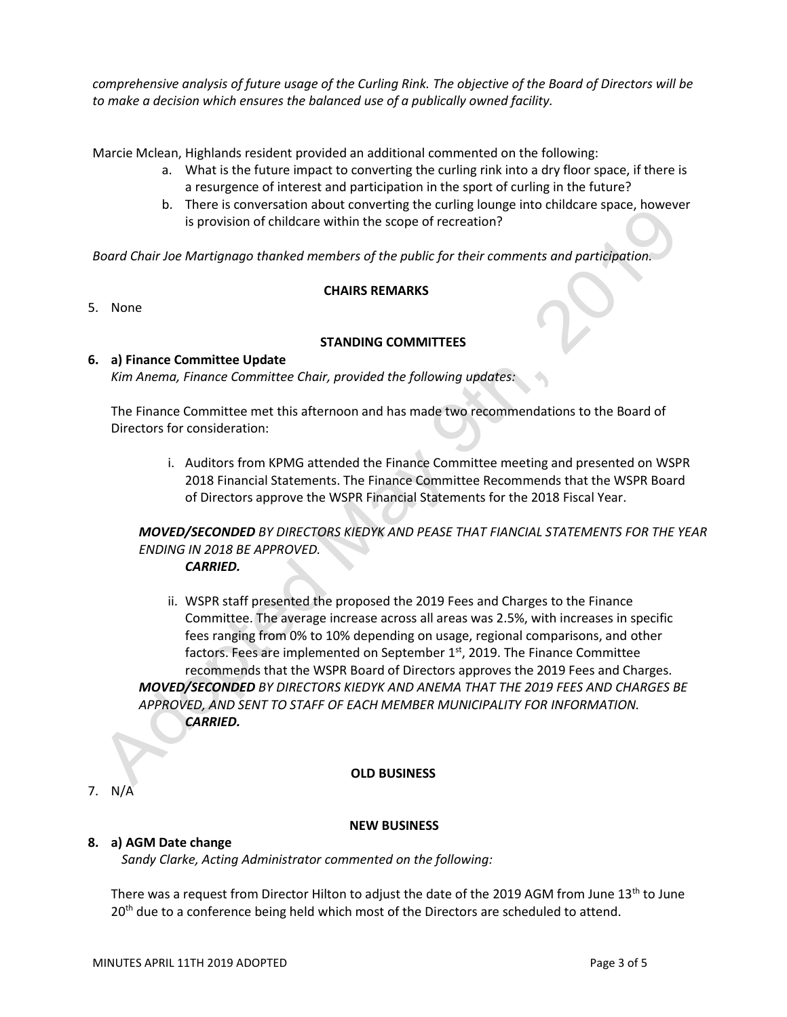*comprehensive analysis of future usage of the Curling Rink. The objective of the Board of Directors will be to make a decision which ensures the balanced use of a publically owned facility.*

Marcie Mclean, Highlands resident provided an additional commented on the following:

- a. What is the future impact to converting the curling rink into a dry floor space, if there is a resurgence of interest and participation in the sport of curling in the future?
- b. There is conversation about converting the curling lounge into childcare space, however is provision of childcare within the scope of recreation?

*Board Chair Joe Martignago thanked members of the public for their comments and participation.*

### **CHAIRS REMARKS**

5. None

# **STANDING COMMITTEES**

### **6. a) Finance Committee Update** *Kim Anema, Finance Committee Chair, provided the following updates:*

The Finance Committee met this afternoon and has made two recommendations to the Board of Directors for consideration:

> i. Auditors from KPMG attended the Finance Committee meeting and presented on WSPR 2018 Financial Statements. The Finance Committee Recommends that the WSPR Board of Directors approve the WSPR Financial Statements for the 2018 Fiscal Year.

*MOVED/SECONDED BY DIRECTORS KIEDYK AND PEASE THAT FIANCIAL STATEMENTS FOR THE YEAR ENDING IN 2018 BE APPROVED.*

*CARRIED.*

ii. WSPR staff presented the proposed the 2019 Fees and Charges to the Finance Committee. The average increase across all areas was 2.5%, with increases in specific fees ranging from 0% to 10% depending on usage, regional comparisons, and other factors. Fees are implemented on September 1<sup>st</sup>, 2019. The Finance Committee recommends that the WSPR Board of Directors approves the 2019 Fees and Charges. *MOVED/SECONDED BY DIRECTORS KIEDYK AND ANEMA THAT THE 2019 FEES AND CHARGES BE APPROVED, AND SENT TO STAFF OF EACH MEMBER MUNICIPALITY FOR INFORMATION. CARRIED.*

# **OLD BUSINESS**

7. N/A

# **NEW BUSINESS**

# **8. a) AGM Date change**

*Sandy Clarke, Acting Administrator commented on the following:*

There was a request from Director Hilton to adjust the date of the 2019 AGM from June  $13<sup>th</sup>$  to June 20<sup>th</sup> due to a conference being held which most of the Directors are scheduled to attend.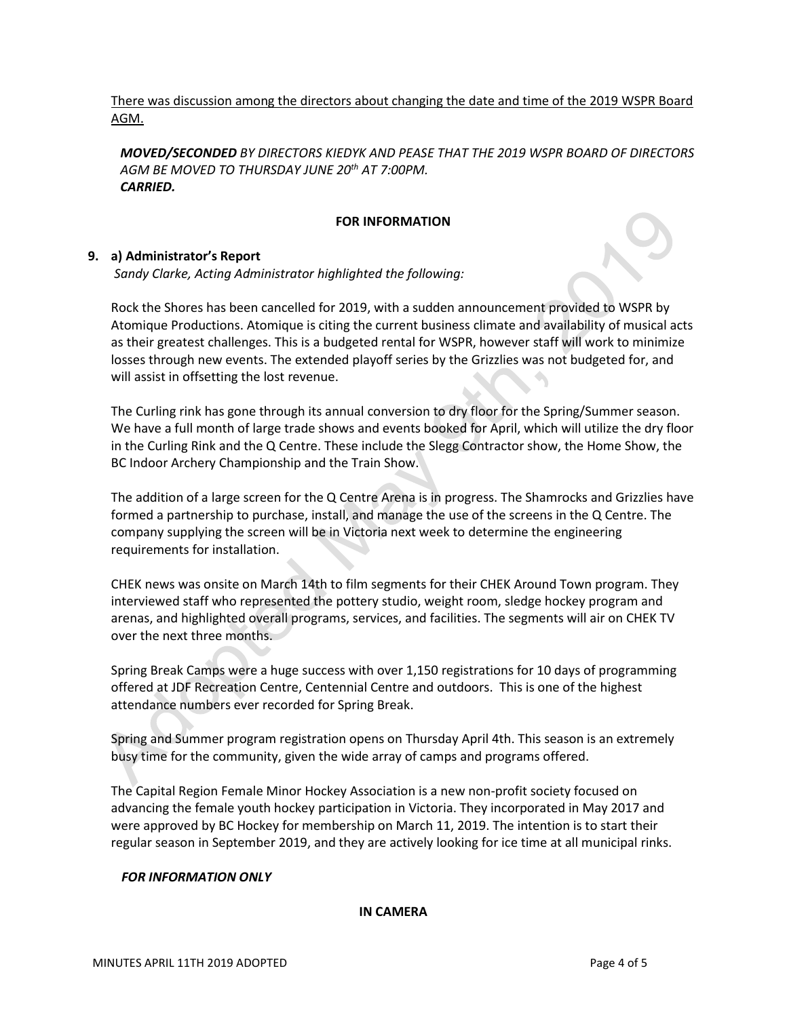There was discussion among the directors about changing the date and time of the 2019 WSPR Board AGM.

*MOVED/SECONDED BY DIRECTORS KIEDYK AND PEASE THAT THE 2019 WSPR BOARD OF DIRECTORS AGM BE MOVED TO THURSDAY JUNE 20th AT 7:00PM. CARRIED.*

## **FOR INFORMATION**

### **9. a) Administrator's Report**

*Sandy Clarke, Acting Administrator highlighted the following:*

Rock the Shores has been cancelled for 2019, with a sudden announcement provided to WSPR by Atomique Productions. Atomique is citing the current business climate and availability of musical acts as their greatest challenges. This is a budgeted rental for WSPR, however staff will work to minimize losses through new events. The extended playoff series by the Grizzlies was not budgeted for, and will assist in offsetting the lost revenue.

The Curling rink has gone through its annual conversion to dry floor for the Spring/Summer season. We have a full month of large trade shows and events booked for April, which will utilize the dry floor in the Curling Rink and the Q Centre. These include the Slegg Contractor show, the Home Show, the BC Indoor Archery Championship and the Train Show.

The addition of a large screen for the Q Centre Arena is in progress. The Shamrocks and Grizzlies have formed a partnership to purchase, install, and manage the use of the screens in the Q Centre. The company supplying the screen will be in Victoria next week to determine the engineering requirements for installation.

CHEK news was onsite on March 14th to film segments for their CHEK Around Town program. They interviewed staff who represented the pottery studio, weight room, sledge hockey program and arenas, and highlighted overall programs, services, and facilities. The segments will air on CHEK TV over the next three months.

Spring Break Camps were a huge success with over 1,150 registrations for 10 days of programming offered at JDF Recreation Centre, Centennial Centre and outdoors. This is one of the highest attendance numbers ever recorded for Spring Break.

Spring and Summer program registration opens on Thursday April 4th. This season is an extremely busy time for the community, given the wide array of camps and programs offered.

The Capital Region Female Minor Hockey Association is a new non-profit society focused on advancing the female youth hockey participation in Victoria. They incorporated in May 2017 and were approved by BC Hockey for membership on March 11, 2019. The intention is to start their regular season in September 2019, and they are actively looking for ice time at all municipal rinks.

#### *FOR INFORMATION ONLY*

#### **IN CAMERA**